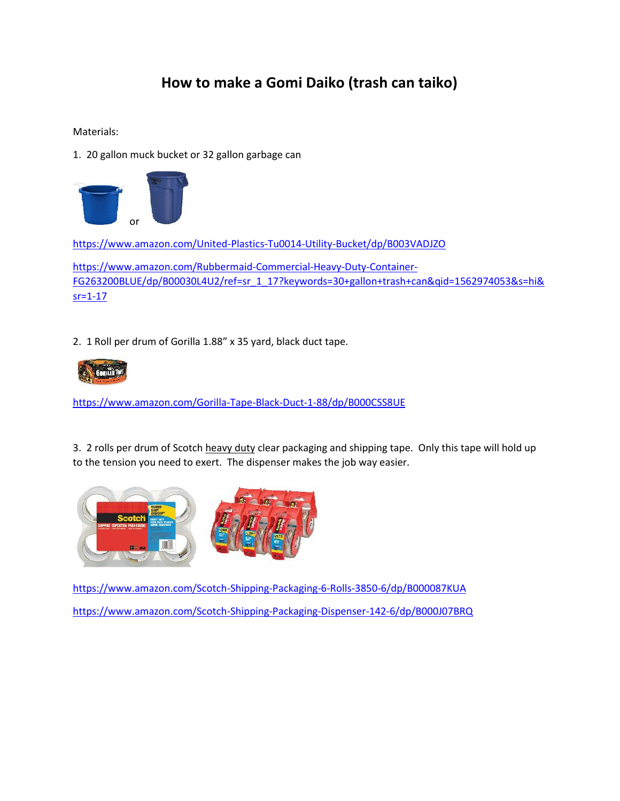## **How to make a Gomi Daiko (trash can taiko)**

Materials:

1. 20 gallon muck bucket or 32 gallon garbage can



https://www.amazon.com/United-Plastics-Tu0014-Utility-Bucket/dp/B003VADJZO

https://www.amazon.com/Rubbermaid-Commercial-Heavy-Duty-Container- FG263200BLUE/dp/B00030L4U2/ref=sr\_1\_17?keywords=30+gallon+trash+can&qid=1562974053&s=hi&  $sr = 1 - 17$ 

2. 1 Roll per drum of Gorilla 1.88" x 35 yard, black duct tape.



https://www.amazon.com/Gorilla-Tape-Black-Duct-1-88/dp/B000CSS8UE

3. 2 rolls per drum of Scotch heavy duty clear packaging and shipping tape. Only this tape will hold up to the tension you need to exert. The dispenser makes the job way easier.



https://www.amazon.com/Scotch-Shipping-Packaging-6-Rolls-3850-6/dp/B000087KUA https://www.amazon.com/Scotch-Shipping-Packaging-Dispenser-142-6/dp/B000J07BRQ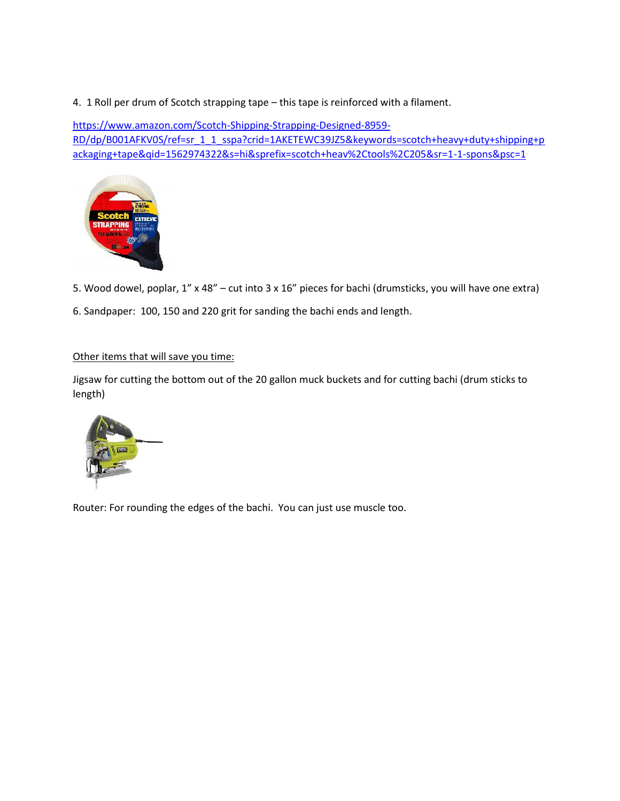4. 1 Roll per drum of Scotch strapping tape – this tape is reinforced with a filament.

https://www.amazon.com/Scotch-Shipping-Strapping-Designed-8959- RD/dp/B001AFKV0S/ref=sr\_1\_1\_sspa?crid=1AKETEWC39JZ5&keywords=scotch+heavy+duty+shipping+p ackaging+tape&qid=1562974322&s=hi&sprefix=scotch+heav%2Ctools%2C205&sr=1-1-spons&psc=1



5. Wood dowel, poplar, 1" x 48" – cut into 3 x 16" pieces for bachi (drumsticks, you will have one extra)

6. Sandpaper: 100, 150 and 220 grit for sanding the bachi ends and length.

## Other items that will save you time:

Jigsaw for cutting the bottom out of the 20 gallon muck buckets and for cutting bachi (drum sticks to length)



Router: For rounding the edges of the bachi. You can just use muscle too.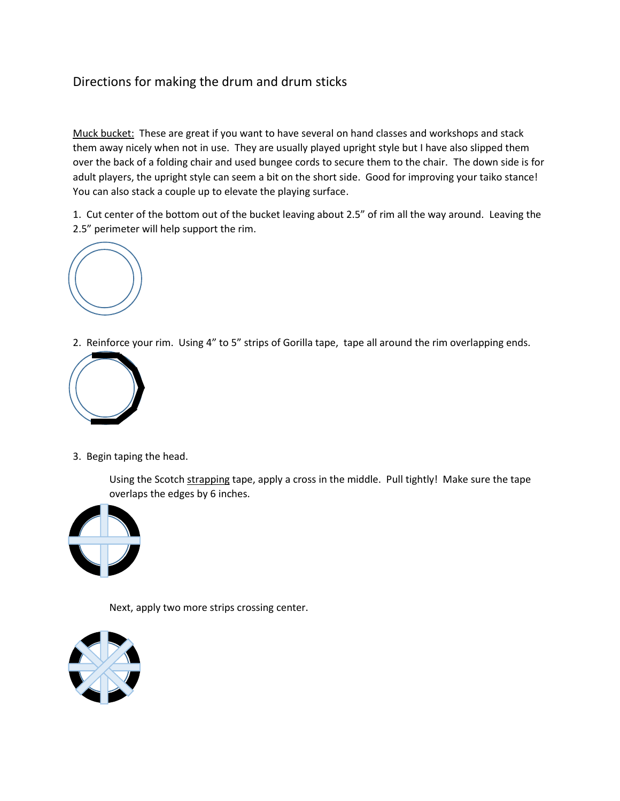## Directions for making the drum and drum sticks

Muck bucket: These are great if you want to have several on hand classes and workshops and stack them away nicely when not in use. They are usually played upright style but I have also slipped them over the back of a folding chair and used bungee cords to secure them to the chair. The down side is for adult players, the upright style can seem a bit on the short side. Good for improving your taiko stance! You can also stack a couple up to elevate the playing surface.

1. Cut center of the bottom out of the bucket leaving about 2.5" of rim all the way around. Leaving the 2.5" perimeter will help support the rim.



2. Reinforce your rim. Using 4" to 5" strips of Gorilla tape, tape all around the rim overlapping ends.



3. Begin taping the head.

Using the Scotch strapping tape, apply a cross in the middle. Pull tightly! Make sure the tape overlaps the edges by 6 inches.



Next, apply two more strips crossing center.

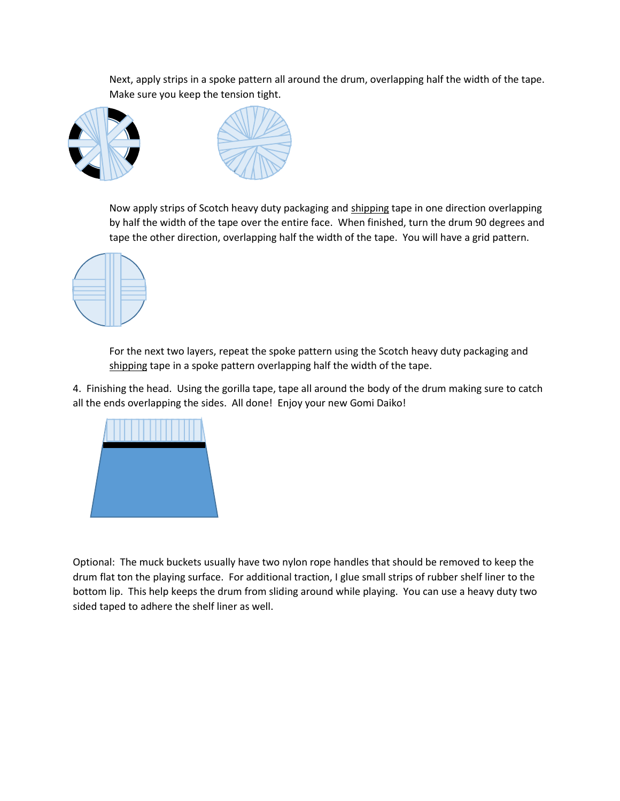Next, apply strips in a spoke pattern all around the drum, overlapping half the width of the tape. Make sure you keep the tension tight.





Now apply strips of Scotch heavy duty packaging and shipping tape in one direction overlapping by half the width of the tape over the entire face. When finished, turn the drum 90 degrees and tape the other direction, overlapping half the width of the tape. You will have a grid pattern.



For the next two layers, repeat the spoke pattern using the Scotch heavy duty packaging and shipping tape in a spoke pattern overlapping half the width of the tape.

4. Finishing the head. Using the gorilla tape, tape all around the body of the drum making sure to catch all the ends overlapping the sides. All done! Enjoy your new Gomi Daiko!



Optional: The muck buckets usually have two nylon rope handles that should be removed to keep the drum flat ton the playing surface. For additional traction, I glue small strips of rubber shelf liner to the bottom lip. This help keeps the drum from sliding around while playing. You can use a heavy duty two sided taped to adhere the shelf liner as well.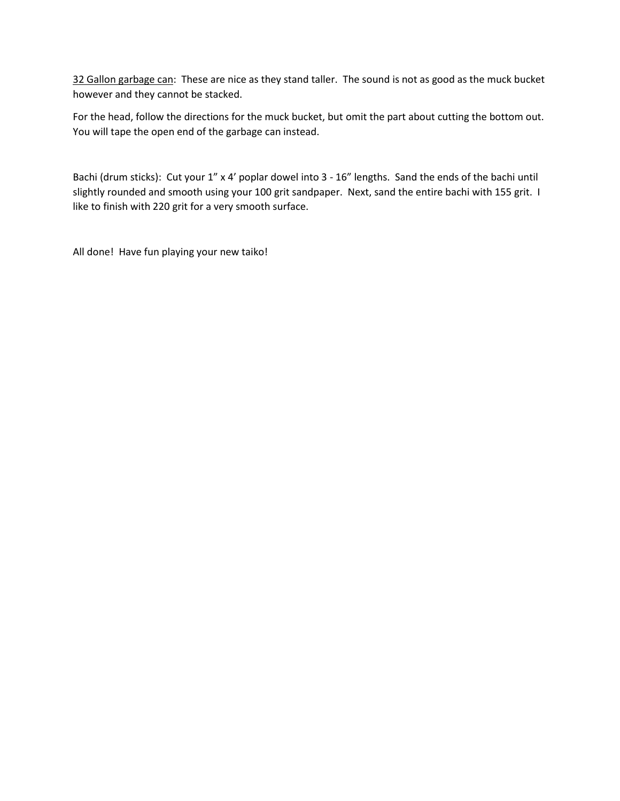32 Gallon garbage can: These are nice as they stand taller. The sound is not as good as the muck bucket however and they cannot be stacked.

For the head, follow the directions for the muck bucket, but omit the part about cutting the bottom out. You will tape the open end of the garbage can instead.

Bachi (drum sticks): Cut your 1" x 4' poplar dowel into 3 - 16" lengths. Sand the ends of the bachi until slightly rounded and smooth using your 100 grit sandpaper. Next, sand the entire bachi with 155 grit. I like to finish with 220 grit for a very smooth surface.

All done! Have fun playing your new taiko!